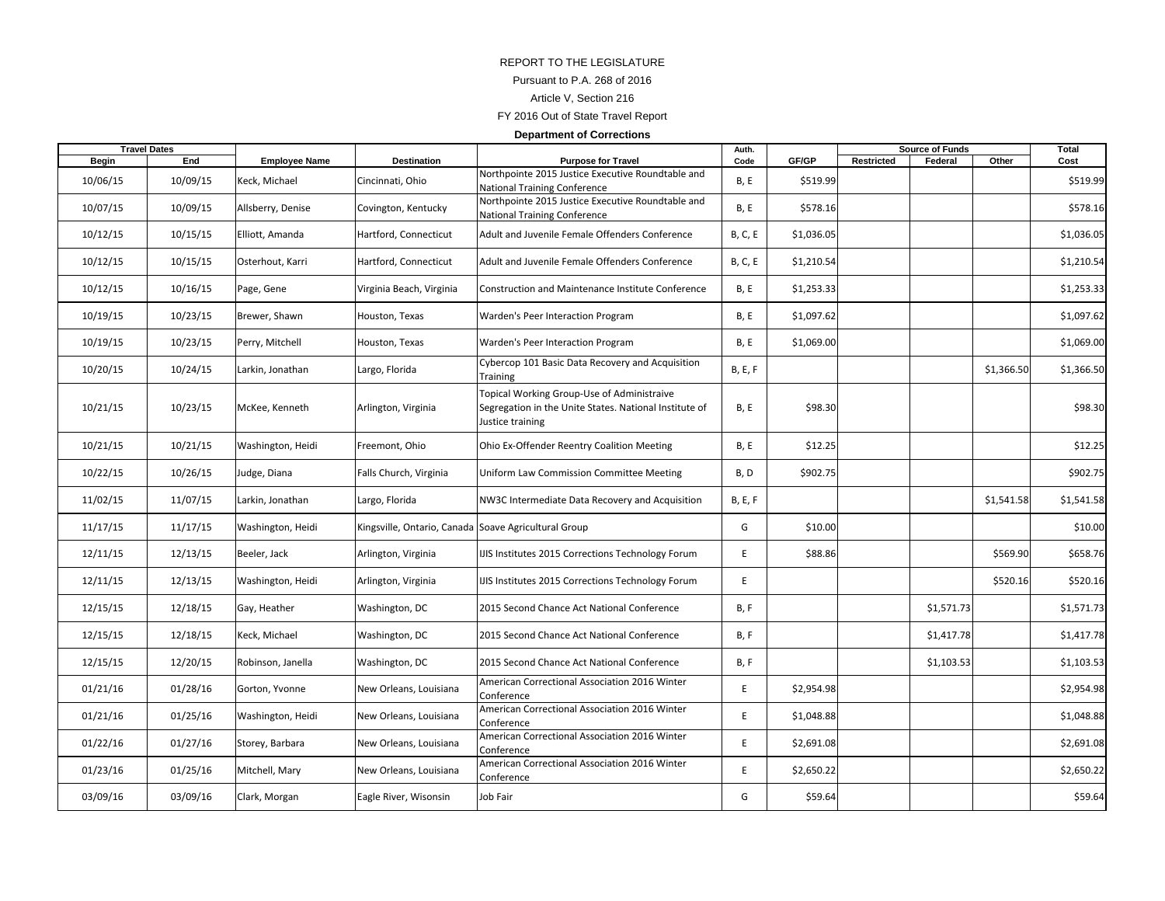## REPORT TO THE LEGISLATUREPursuant to P.A. 268 of 2016 Article V, Section 216 FY 2016 Out of State Travel Report

#### **Department of Corrections**

| <b>Travel Dates</b> |          |                      |                                                      |                                                                                                                          | Auth.          |            | <b>Source of Funds</b> |            |            | Total      |
|---------------------|----------|----------------------|------------------------------------------------------|--------------------------------------------------------------------------------------------------------------------------|----------------|------------|------------------------|------------|------------|------------|
| <b>Begin</b>        | End      | <b>Employee Name</b> | Destination                                          | <b>Purpose for Travel</b>                                                                                                | Code           | GF/GP      | Restricted             | Federal    | Other      | Cost       |
| 10/06/15            | 10/09/15 | Keck, Michael        | Cincinnati, Ohio                                     | Northpointe 2015 Justice Executive Roundtable and<br>National Training Conference                                        | <b>B, E</b>    | \$519.99   |                        |            |            | \$519.99   |
| 10/07/15            | 10/09/15 | Allsberry, Denise    | Covington, Kentucky                                  | Northpointe 2015 Justice Executive Roundtable and<br>National Training Conference                                        | <b>B, E</b>    | \$578.16   |                        |            |            | \$578.16   |
| 10/12/15            | 10/15/15 | Elliott, Amanda      | Hartford, Connecticut                                | Adult and Juvenile Female Offenders Conference                                                                           | <b>B, C, E</b> | \$1,036.05 |                        |            |            | \$1,036.05 |
| 10/12/15            | 10/15/15 | Osterhout, Karri     | Hartford, Connecticut                                | Adult and Juvenile Female Offenders Conference                                                                           | <b>B, C, E</b> | \$1,210.54 |                        |            |            | \$1,210.54 |
| 10/12/15            | 10/16/15 | Page, Gene           | Virginia Beach, Virginia                             | Construction and Maintenance Institute Conference                                                                        | <b>B, E</b>    | \$1,253.33 |                        |            |            | \$1,253.33 |
| 10/19/15            | 10/23/15 | Brewer, Shawn        | Houston, Texas                                       | Warden's Peer Interaction Program                                                                                        | <b>B, E</b>    | \$1,097.62 |                        |            |            | \$1,097.62 |
| 10/19/15            | 10/23/15 | Perry, Mitchell      | Houston, Texas                                       | Warden's Peer Interaction Program                                                                                        | <b>B, E</b>    | \$1,069.00 |                        |            |            | \$1,069.00 |
| 10/20/15            | 10/24/15 | Larkin, Jonathan     | Largo, Florida                                       | Cybercop 101 Basic Data Recovery and Acquisition<br>Training                                                             | <b>B, E, F</b> |            |                        |            | \$1,366.50 | \$1,366.50 |
| 10/21/15            | 10/23/15 | McKee, Kenneth       | Arlington, Virginia                                  | Topical Working Group-Use of Administraive<br>Segregation in the Unite States. National Institute of<br>Justice training | <b>B, E</b>    | \$98.30    |                        |            |            | \$98.30    |
| 10/21/15            | 10/21/15 | Washington, Heidi    | Freemont, Ohio                                       | Ohio Ex-Offender Reentry Coalition Meeting                                                                               | B, E           | \$12.25    |                        |            |            | \$12.25    |
| 10/22/15            | 10/26/15 | Judge, Diana         | Falls Church, Virginia                               | Uniform Law Commission Committee Meeting                                                                                 | B, D           | \$902.75   |                        |            |            | \$902.75   |
| 11/02/15            | 11/07/15 | Larkin, Jonathan     | Largo, Florida                                       | NW3C Intermediate Data Recovery and Acquisition                                                                          | <b>B, E, F</b> |            |                        |            | \$1,541.58 | \$1,541.58 |
| 11/17/15            | 11/17/15 | Washington, Heidi    | Kingsville, Ontario, Canada Soave Agricultural Group |                                                                                                                          | G              | \$10.00    |                        |            |            | \$10.00    |
| 12/11/15            | 12/13/15 | Beeler, Jack         | Arlington, Virginia                                  | IJIS Institutes 2015 Corrections Technology Forum                                                                        | E              | \$88.86    |                        |            | \$569.90   | \$658.76   |
| 12/11/15            | 12/13/15 | Washington, Heidi    | Arlington, Virginia                                  | IJIS Institutes 2015 Corrections Technology Forum                                                                        | E              |            |                        |            | \$520.16   | \$520.16   |
| 12/15/15            | 12/18/15 | Gay, Heather         | Washington, DC                                       | 2015 Second Chance Act National Conference                                                                               | <b>B, F</b>    |            |                        | \$1,571.73 |            | \$1,571.73 |
| 12/15/15            | 12/18/15 | Keck, Michael        | Washington, DC                                       | 2015 Second Chance Act National Conference                                                                               | B, F           |            |                        | \$1,417.78 |            | \$1,417.78 |
| 12/15/15            | 12/20/15 | Robinson, Janella    | Washington, DC                                       | 2015 Second Chance Act National Conference                                                                               | <b>B, F</b>    |            |                        | \$1,103.53 |            | \$1,103.53 |
| 01/21/16            | 01/28/16 | Gorton, Yvonne       | New Orleans, Louisiana                               | American Correctional Association 2016 Winter<br>Conference                                                              | E              | \$2,954.98 |                        |            |            | \$2,954.98 |
| 01/21/16            | 01/25/16 | Washington, Heidi    | New Orleans, Louisiana                               | American Correctional Association 2016 Winter<br>Conference                                                              | E              | \$1,048.88 |                        |            |            | \$1,048.88 |
| 01/22/16            | 01/27/16 | Storey, Barbara      | New Orleans, Louisiana                               | American Correctional Association 2016 Winter<br>Conference                                                              | E              | \$2,691.08 |                        |            |            | \$2,691.08 |
| 01/23/16            | 01/25/16 | Mitchell, Mary       | New Orleans, Louisiana                               | American Correctional Association 2016 Winter<br>Conference                                                              | E              | \$2,650.22 |                        |            |            | \$2,650.22 |
| 03/09/16            | 03/09/16 | Clark, Morgan        | Eagle River, Wisonsin                                | Job Fair                                                                                                                 | G              | \$59.64    |                        |            |            | \$59.64    |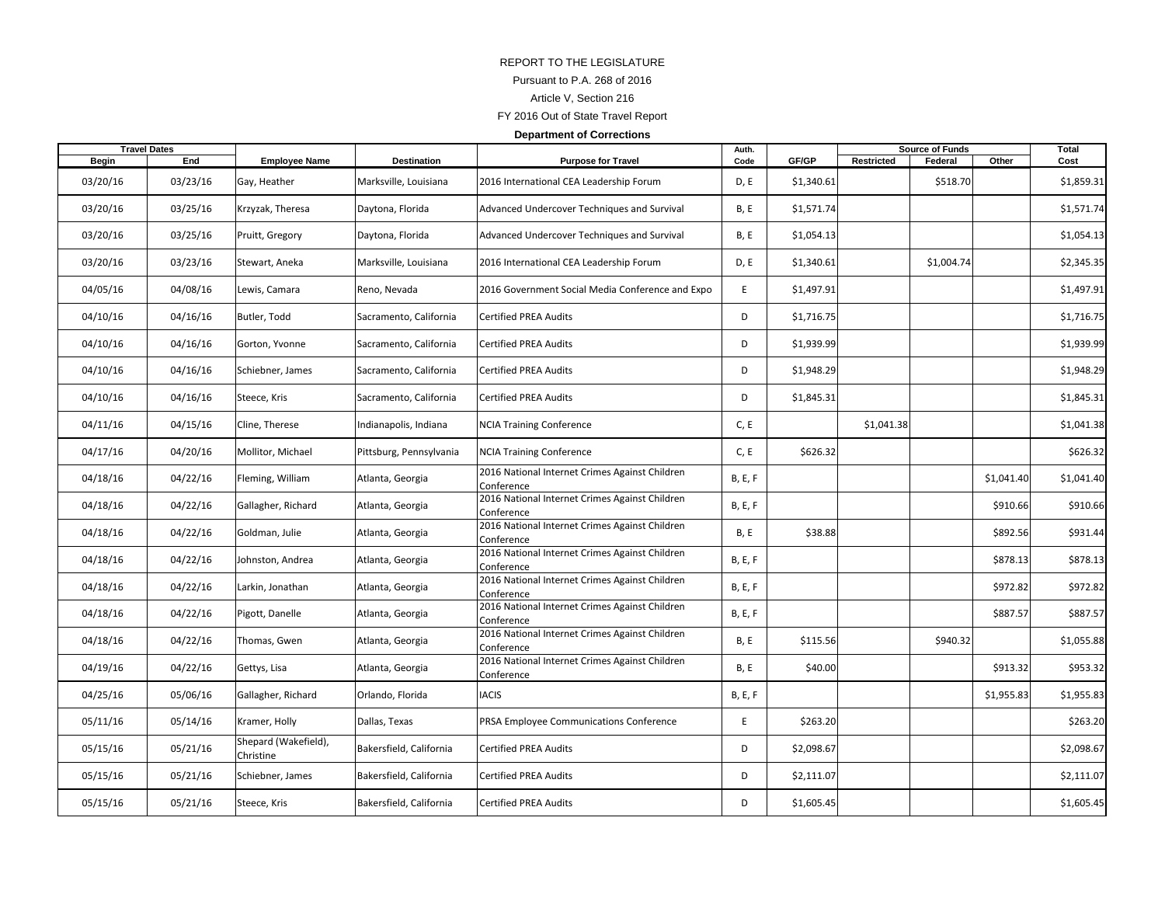## REPORT TO THE LEGISLATUREPursuant to P.A. 268 of 2016 Article V, Section 216 FY 2016 Out of State Travel Report **Department of Corrections**

|          | <b>Travel Dates</b> |                                   |                         |                                                              | Auth.          |            | <b>Source of Funds</b> |            |            | Total      |
|----------|---------------------|-----------------------------------|-------------------------|--------------------------------------------------------------|----------------|------------|------------------------|------------|------------|------------|
| Begin    | End                 | <b>Employee Name</b>              | Destination             | <b>Purpose for Travel</b>                                    | Code           | GF/GP      | Restricted             | Federal    | Other      | Cost       |
| 03/20/16 | 03/23/16            | Gay, Heather                      | Marksville, Louisiana   | 2016 International CEA Leadership Forum                      | D, E           | \$1,340.61 |                        | \$518.70   |            | \$1,859.31 |
| 03/20/16 | 03/25/16            | Krzyzak, Theresa                  | Daytona, Florida        | Advanced Undercover Techniques and Survival                  | B, E           | \$1,571.74 |                        |            |            | \$1,571.74 |
| 03/20/16 | 03/25/16            | Pruitt, Gregory                   | Daytona, Florida        | Advanced Undercover Techniques and Survival                  | <b>B, E</b>    | \$1,054.13 |                        |            |            | \$1,054.13 |
| 03/20/16 | 03/23/16            | Stewart, Aneka                    | Marksville, Louisiana   | 2016 International CEA Leadership Forum                      | D, E           | \$1,340.61 |                        | \$1,004.74 |            | \$2,345.35 |
| 04/05/16 | 04/08/16            | Lewis, Camara                     | Reno, Nevada            | 2016 Government Social Media Conference and Expo             | E              | \$1,497.91 |                        |            |            | \$1,497.91 |
| 04/10/16 | 04/16/16            | Butler, Todd                      | Sacramento, California  | <b>Certified PREA Audits</b>                                 | D              | \$1,716.75 |                        |            |            | \$1,716.75 |
| 04/10/16 | 04/16/16            | Gorton, Yvonne                    | Sacramento, California  | <b>Certified PREA Audits</b>                                 | D              | \$1,939.99 |                        |            |            | \$1,939.99 |
| 04/10/16 | 04/16/16            | Schiebner, James                  | Sacramento, California  | <b>Certified PREA Audits</b>                                 | D              | \$1,948.29 |                        |            |            | \$1,948.29 |
| 04/10/16 | 04/16/16            | Steece, Kris                      | Sacramento, California  | <b>Certified PREA Audits</b>                                 | D              | \$1,845.31 |                        |            |            | \$1,845.31 |
| 04/11/16 | 04/15/16            | Cline, Therese                    | Indianapolis, Indiana   | NCIA Training Conference                                     | C, E           |            | \$1,041.38             |            |            | \$1,041.38 |
| 04/17/16 | 04/20/16            | Mollitor, Michael                 | Pittsburg, Pennsylvania | <b>NCIA Training Conference</b>                              | C, E           | \$626.32   |                        |            |            | \$626.32   |
| 04/18/16 | 04/22/16            | Fleming, William                  | Atlanta, Georgia        | 2016 National Internet Crimes Against Children<br>Conference | <b>B, E, F</b> |            |                        |            | \$1,041.40 | \$1,041.40 |
| 04/18/16 | 04/22/16            | Gallagher, Richard                | Atlanta, Georgia        | 2016 National Internet Crimes Against Children<br>Conference | <b>B, E, F</b> |            |                        |            | \$910.66   | \$910.66   |
| 04/18/16 | 04/22/16            | Goldman, Julie                    | Atlanta, Georgia        | 2016 National Internet Crimes Against Children<br>Conference | <b>B, E</b>    | \$38.88    |                        |            | \$892.56   | \$931.44   |
| 04/18/16 | 04/22/16            | Johnston, Andrea                  | Atlanta, Georgia        | 2016 National Internet Crimes Against Children<br>Conference | <b>B, E, F</b> |            |                        |            | \$878.13   | \$878.13   |
| 04/18/16 | 04/22/16            | Larkin, Jonathan                  | Atlanta, Georgia        | 2016 National Internet Crimes Against Children<br>Conference | <b>B, E, F</b> |            |                        |            | \$972.82   | \$972.82   |
| 04/18/16 | 04/22/16            | Pigott, Danelle                   | Atlanta, Georgia        | 2016 National Internet Crimes Against Children<br>Conference | <b>B, E, F</b> |            |                        |            | \$887.57   | \$887.57   |
| 04/18/16 | 04/22/16            | Thomas, Gwen                      | Atlanta, Georgia        | 2016 National Internet Crimes Against Children<br>Conference | B, E           | \$115.56   |                        | \$940.32   |            | \$1,055.88 |
| 04/19/16 | 04/22/16            | Gettys, Lisa                      | Atlanta, Georgia        | 2016 National Internet Crimes Against Children<br>Conference | B, E           | \$40.00    |                        |            | \$913.32   | \$953.32   |
| 04/25/16 | 05/06/16            | Gallagher, Richard                | Orlando, Florida        | <b>IACIS</b>                                                 | B, E, F        |            |                        |            | \$1,955.83 | \$1,955.83 |
| 05/11/16 | 05/14/16            | Kramer, Holly                     | Dallas, Texas           | PRSA Employee Communications Conference                      | $\mathsf E$    | \$263.20   |                        |            |            | \$263.20   |
| 05/15/16 | 05/21/16            | Shepard (Wakefield),<br>Christine | Bakersfield, California | Certified PREA Audits                                        | D              | \$2,098.67 |                        |            |            | \$2,098.67 |
| 05/15/16 | 05/21/16            | Schiebner, James                  | Bakersfield, California | Certified PREA Audits                                        | D              | \$2,111.07 |                        |            |            | \$2,111.07 |
| 05/15/16 | 05/21/16            | Steece, Kris                      | Bakersfield, California | Certified PREA Audits                                        | D              | \$1,605.45 |                        |            |            | \$1,605.45 |
|          |                     |                                   |                         |                                                              |                |            |                        |            |            |            |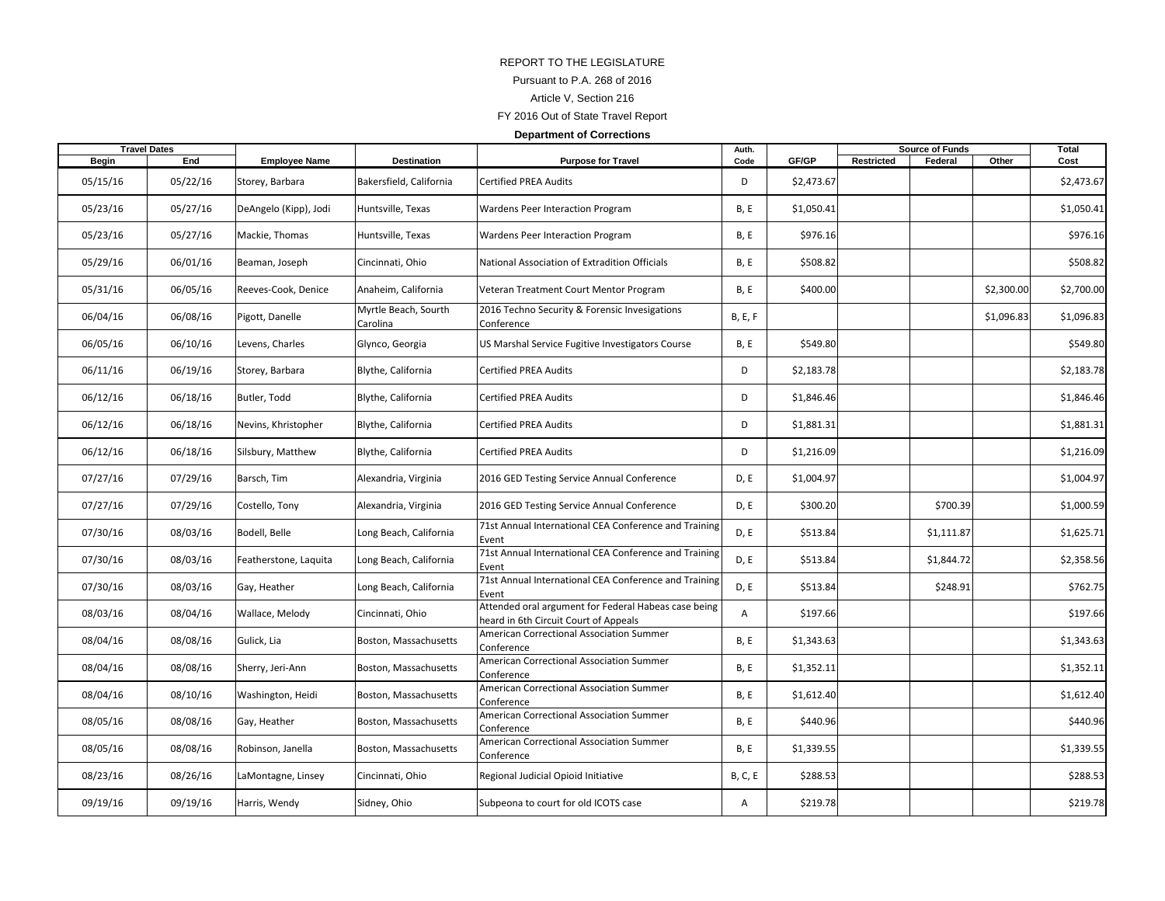## REPORT TO THE LEGISLATUREPursuant to P.A. 268 of 2016 Article V, Section 216 FY 2016 Out of State Travel Report **Department of Corrections**

| <b>Travel Dates</b> |          |                       |                                  |                                                                                               | Auth.          |            | <b>Source of Funds</b> |            |            | Total      |
|---------------------|----------|-----------------------|----------------------------------|-----------------------------------------------------------------------------------------------|----------------|------------|------------------------|------------|------------|------------|
| <b>Begin</b>        | End      | <b>Employee Name</b>  | Destination                      | <b>Purpose for Travel</b>                                                                     | Code           | GF/GP      | Restricted             | Federal    | Other      | Cost       |
| 05/15/16            | 05/22/16 | Storey, Barbara       | Bakersfield, California          | <b>Certified PREA Audits</b>                                                                  | D              | \$2,473.67 |                        |            |            | \$2,473.67 |
| 05/23/16            | 05/27/16 | DeAngelo (Kipp), Jodi | Huntsville, Texas                | Wardens Peer Interaction Program                                                              | <b>B, E</b>    | \$1,050.41 |                        |            |            | \$1,050.41 |
| 05/23/16            | 05/27/16 | Mackie, Thomas        | Huntsville, Texas                | Wardens Peer Interaction Program                                                              | <b>B, E</b>    | \$976.16   |                        |            |            | \$976.16   |
| 05/29/16            | 06/01/16 | Beaman, Joseph        | Cincinnati, Ohio                 | National Association of Extradition Officials                                                 | B, E           | \$508.82   |                        |            |            | \$508.82   |
| 05/31/16            | 06/05/16 | Reeves-Cook, Denice   | Anaheim, California              | Veteran Treatment Court Mentor Program                                                        | <b>B, E</b>    | \$400.00   |                        |            | \$2,300.00 | \$2,700.00 |
| 06/04/16            | 06/08/16 | Pigott, Danelle       | Myrtle Beach, Sourth<br>Carolina | 2016 Techno Security & Forensic Invesigations<br>Conference                                   | <b>B, E, F</b> |            |                        |            | \$1,096.83 | \$1,096.83 |
| 06/05/16            | 06/10/16 | Levens, Charles       | Glynco, Georgia                  | US Marshal Service Fugitive Investigators Course                                              | <b>B, E</b>    | \$549.80   |                        |            |            | \$549.80   |
| 06/11/16            | 06/19/16 | Storey, Barbara       | Blythe, California               | <b>Certified PREA Audits</b>                                                                  | D              | \$2,183.78 |                        |            |            | \$2,183.78 |
| 06/12/16            | 06/18/16 | Butler, Todd          | Blythe, California               | <b>Certified PREA Audits</b>                                                                  | D              | \$1,846.46 |                        |            |            | \$1,846.46 |
| 06/12/16            | 06/18/16 | Nevins, Khristopher   | Blythe, California               | <b>Certified PREA Audits</b>                                                                  | D              | \$1,881.31 |                        |            |            | \$1,881.31 |
| 06/12/16            | 06/18/16 | Silsbury, Matthew     | Blythe, California               | <b>Certified PREA Audits</b>                                                                  | D              | \$1,216.09 |                        |            |            | \$1,216.09 |
| 07/27/16            | 07/29/16 | Barsch, Tim           | Alexandria, Virginia             | 2016 GED Testing Service Annual Conference                                                    | D, E           | \$1,004.97 |                        |            |            | \$1,004.97 |
| 07/27/16            | 07/29/16 | Costello, Tony        | Alexandria, Virginia             | 2016 GED Testing Service Annual Conference                                                    | D, E           | \$300.20   |                        | \$700.39   |            | \$1,000.59 |
| 07/30/16            | 08/03/16 | Bodell, Belle         | Long Beach, California           | 71st Annual International CEA Conference and Training<br>Event                                | D, E           | \$513.84   |                        | \$1,111.87 |            | \$1,625.71 |
| 07/30/16            | 08/03/16 | Featherstone, Laquita | Long Beach, California           | 71st Annual International CEA Conference and Training<br>Event                                | D, E           | \$513.84   |                        | \$1,844.72 |            | \$2,358.56 |
| 07/30/16            | 08/03/16 | Gay, Heather          | Long Beach, California           | 71st Annual International CEA Conference and Training<br>Event                                | D, E           | \$513.84   |                        | \$248.91   |            | \$762.75   |
| 08/03/16            | 08/04/16 | Wallace, Melody       | Cincinnati, Ohio                 | Attended oral argument for Federal Habeas case being<br>heard in 6th Circuit Court of Appeals | $\overline{A}$ | \$197.66   |                        |            |            | \$197.66   |
| 08/04/16            | 08/08/16 | Gulick, Lia           | Boston, Massachusetts            | American Correctional Association Summer<br>Conference                                        | B, E           | \$1,343.63 |                        |            |            | \$1,343.63 |
| 08/04/16            | 08/08/16 | Sherry, Jeri-Ann      | Boston, Massachusetts            | American Correctional Association Summer<br>Conference                                        | <b>B, E</b>    | \$1,352.11 |                        |            |            | \$1,352.11 |
| 08/04/16            | 08/10/16 | Washington, Heidi     | Boston, Massachusetts            | American Correctional Association Summer<br>Conference                                        | <b>B, E</b>    | \$1,612.40 |                        |            |            | \$1,612.40 |
| 08/05/16            | 08/08/16 | Gay, Heather          | Boston, Massachusetts            | American Correctional Association Summer<br>Conference                                        | <b>B, E</b>    | \$440.96   |                        |            |            | \$440.96   |
| 08/05/16            | 08/08/16 | Robinson, Janella     | Boston, Massachusetts            | American Correctional Association Summer<br>Conference                                        | B, E           | \$1,339.55 |                        |            |            | \$1,339.55 |
| 08/23/16            | 08/26/16 | LaMontagne, Linsey    | Cincinnati, Ohio                 | Regional Judicial Opioid Initiative                                                           | <b>B, C, E</b> | \$288.53   |                        |            |            | \$288.53   |
| 09/19/16            | 09/19/16 | Harris, Wendy         | Sidney, Ohio                     | Subpeona to court for old ICOTS case                                                          | A              | \$219.78   |                        |            |            | \$219.78   |